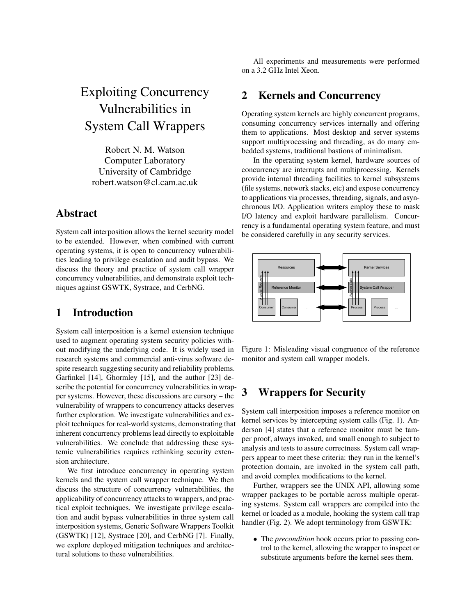# Exploiting Concurrency Vulnerabilities in System Call Wrappers

Robert N. M. Watson Computer Laboratory University of Cambridge robert.watson@cl.cam.ac.uk

# Abstract

System call interposition allows the kernel security model to be extended. However, when combined with current operating systems, it is open to concurrency vulnerabilities leading to privilege escalation and audit bypass. We discuss the theory and practice of system call wrapper concurrency vulnerabilities, and demonstrate exploit techniques against GSWTK, Systrace, and CerbNG.

# 1 Introduction

System call interposition is a kernel extension technique used to augment operating system security policies without modifying the underlying code. It is widely used in research systems and commercial anti-virus software despite research suggesting security and reliability problems. Garfinkel [14], Ghormley [15], and the author [23] describe the potential for concurrency vulnerabilities in wrapper systems. However, these discussions are cursory – the vulnerability of wrappers to concurrency attacks deserves further exploration. We investigate vulnerabilities and exploit techniques for real-world systems, demonstrating that inherent concurrency problems lead directly to exploitable vulnerabilities. We conclude that addressing these systemic vulnerabilities requires rethinking security extension architecture.

We first introduce concurrency in operating system kernels and the system call wrapper technique. We then discuss the structure of concurrency vulnerabilities, the applicability of concurrency attacks to wrappers, and practical exploit techniques. We investigate privilege escalation and audit bypass vulnerabilities in three system call interposition systems, Generic Software Wrappers Toolkit (GSWTK) [12], Systrace [20], and CerbNG [7]. Finally, we explore deployed mitigation techniques and architectural solutions to these vulnerabilities.

All experiments and measurements were performed on a 3.2 GHz Intel Xeon.

# 2 Kernels and Concurrency

Operating system kernels are highly concurrent programs, consuming concurrency services internally and offering them to applications. Most desktop and server systems support multiprocessing and threading, as do many embedded systems, traditional bastions of minimalism.

In the operating system kernel, hardware sources of concurrency are interrupts and multiprocessing. Kernels provide internal threading facilities to kernel subsystems (file systems, network stacks, etc) and expose concurrency to applications via processes, threading, signals, and asynchronous I/O. Application writers employ these to mask I/O latency and exploit hardware parallelism. Concurrency is a fundamental operating system feature, and must be considered carefully in any security services.



Figure 1: Misleading visual congruence of the reference monitor and system call wrapper models.

# 3 Wrappers for Security

System call interposition imposes a reference monitor on kernel services by intercepting system calls (Fig. 1). Anderson [4] states that a reference monitor must be tamper proof, always invoked, and small enough to subject to analysis and tests to assure correctness. System call wrappers appear to meet these criteria: they run in the kernel's protection domain, are invoked in the system call path, and avoid complex modifications to the kernel.

Further, wrappers see the UNIX API, allowing some wrapper packages to be portable across multiple operating systems. System call wrappers are compiled into the kernel or loaded as a module, hooking the system call trap handler (Fig. 2). We adopt terminology from GSWTK:

• The *precondition* hook occurs prior to passing control to the kernel, allowing the wrapper to inspect or substitute arguments before the kernel sees them.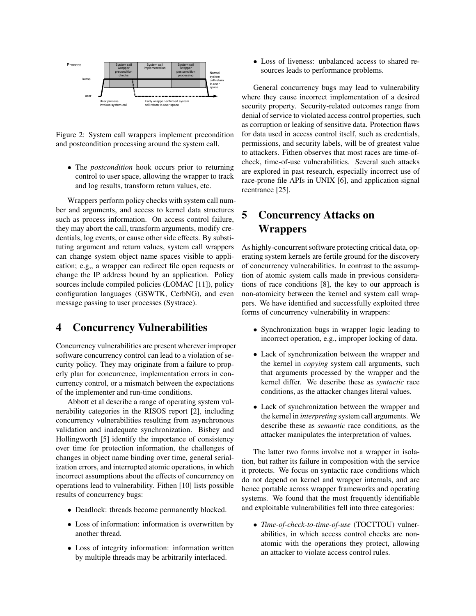

Figure 2: System call wrappers implement precondition and postcondition processing around the system call.

• The *postcondition* hook occurs prior to returning control to user space, allowing the wrapper to track and log results, transform return values, etc.

Wrappers perform policy checks with system call number and arguments, and access to kernel data structures such as process information. On access control failure, they may abort the call, transform arguments, modify credentials, log events, or cause other side effects. By substituting argument and return values, system call wrappers can change system object name spaces visible to application; e.g,, a wrapper can redirect file open requests or change the IP address bound by an application. Policy sources include compiled policies (LOMAC [11]), policy configuration languages (GSWTK, CerbNG), and even message passing to user processes (Systrace).

### 4 Concurrency Vulnerabilities

Concurrency vulnerabilities are present wherever improper software concurrency control can lead to a violation of security policy. They may originate from a failure to properly plan for concurrence, implementation errors in concurrency control, or a mismatch between the expectations of the implementer and run-time conditions.

Abbott et al describe a range of operating system vulnerability categories in the RISOS report [2], including concurrency vulnerabilities resulting from asynchronous validation and inadequate synchronization. Bisbey and Hollingworth [5] identify the importance of consistency over time for protection information, the challenges of changes in object name binding over time, general serialization errors, and interrupted atomic operations, in which incorrect assumptions about the effects of concurrency on operations lead to vulnerability. Fithen [10] lists possible results of concurrency bugs:

- Deadlock: threads become permanently blocked.
- Loss of information: information is overwritten by another thread.
- Loss of integrity information: information written by multiple threads may be arbitrarily interlaced.

• Loss of liveness: unbalanced access to shared resources leads to performance problems.

General concurrency bugs may lead to vulnerability where they cause incorrect implementation of a desired security property. Security-related outcomes range from denial of service to violated access control properties, such as corruption or leaking of sensitive data. Protection flaws for data used in access control itself, such as credentials, permissions, and security labels, will be of greatest value to attackers. Fithen observes that most races are time-ofcheck, time-of-use vulnerabilities. Several such attacks are explored in past research, especially incorrect use of race-prone file APIs in UNIX [6], and application signal reentrance [25].

# 5 Concurrency Attacks on Wrappers

As highly-concurrent software protecting critical data, operating system kernels are fertile ground for the discovery of concurrency vulnerabilities. In contrast to the assumption of atomic system calls made in previous considerations of race conditions [8], the key to our approach is non-atomicity between the kernel and system call wrappers. We have identified and successfully exploited three forms of concurrency vulnerability in wrappers:

- Synchronization bugs in wrapper logic leading to incorrect operation, e.g., improper locking of data.
- Lack of synchronization between the wrapper and the kernel in *copying* system call arguments, such that arguments processed by the wrapper and the kernel differ. We describe these as *syntactic* race conditions, as the attacker changes literal values.
- Lack of synchronization between the wrapper and the kernel in *interpreting* system call arguments. We describe these as *semantic* race conditions, as the attacker manipulates the interpretation of values.

The latter two forms involve not a wrapper in isolation, but rather its failure in composition with the service it protects. We focus on syntactic race conditions which do not depend on kernel and wrapper internals, and are hence portable across wrapper frameworks and operating systems. We found that the most frequently identifiable and exploitable vulnerabilities fell into three categories:

• *Time-of-check-to-time-of-use* (TOCTTOU) vulnerabilities, in which access control checks are nonatomic with the operations they protect, allowing an attacker to violate access control rules.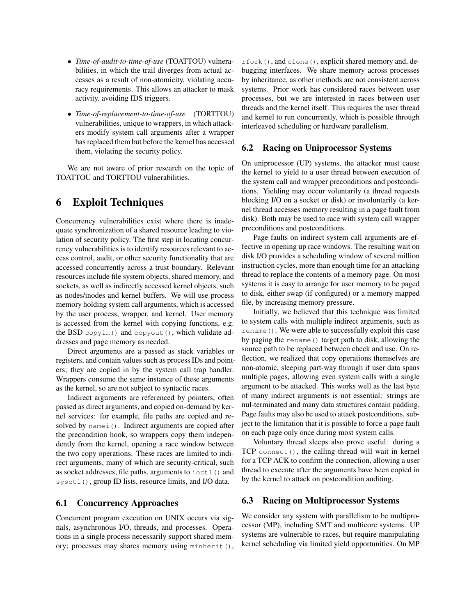- *Time-of-audit-to-time-of-use* (TOATTOU) vulnerabilities, in which the trail diverges from actual accesses as a result of non-atomicity, violating accuracy requirements. This allows an attacker to mask activity, avoiding IDS triggers.
- *Time-of-replacement-to-time-of-use* (TORTTOU) vulnerabilities, unique to wrappers, in which attackers modify system call arguments after a wrapper has replaced them but before the kernel has accessed them, violating the security policy.

We are not aware of prior research on the topic of TOATTOU and TORTTOU vulnerabilities.

# 6 Exploit Techniques

Concurrency vulnerabilities exist where there is inadequate synchronization of a shared resource leading to violation of security policy. The first step in locating concurrency vulnerabilities is to identify resources relevant to access control, audit, or other security functionality that are accessed concurrently across a trust boundary. Relevant resources include file system objects, shared memory, and sockets, as well as indirectly accessed kernel objects, such as nodes/inodes and kernel buffers. We will use process memory holding system call arguments, which is accessed by the user process, wrapper, and kernel. User memory is accessed from the kernel with copying functions, e.g. the BSD copyin() and copyout(), which validate addresses and page memory as needed.

Direct arguments are a passed as stack variables or registers, and contain values such as process IDs and pointers; they are copied in by the system call trap handler. Wrappers consume the same instance of these arguments as the kernel, so are not subject to syntactic races.

Indirect arguments are referenced by pointers, often passed as direct arguments, and copied on-demand by kernel services: for example, file paths are copied and resolved by namei(). Indirect arguments are copied after the precondition hook, so wrappers copy them independently from the kernel, opening a race window between the two copy operations. These races are limited to indirect arguments, many of which are security-critical, such as socket addresses, file paths, arguments to  $i$ octl $(i)$  and sysctl(), group ID lists, resource limits, and I/O data.

#### 6.1 Concurrency Approaches

Concurrent program execution on UNIX occurs via signals, asynchronous I/O, threads, and processes. Operations in a single process necessarily support shared memory; processes may shares memory using minherit(),

rfork(), and clone(), explicit shared memory and, debugging interfaces. We share memory across processes by inheritance, as other methods are not consistent across systems. Prior work has considered races between user processes, but we are interested in races between user threads and the kernel itself. This requires the user thread and kernel to run concurrently, which is possible through interleaved scheduling or hardware parallelism.

#### 6.2 Racing on Uniprocessor Systems

On uniprocessor (UP) systems, the attacker must cause the kernel to yield to a user thread between execution of the system call and wrapper preconditions and postconditions. Yielding may occur voluntarily (a thread requests blocking I/O on a socket or disk) or involuntarily (a kernel thread accesses memory resulting in a page fault from disk). Both may be used to race with system call wrapper preconditions and postconditions.

Page faults on indirect system call arguments are effective in opening up race windows. The resulting wait on disk I/O provides a scheduling window of several million instruction cycles, more than enough time for an attacking thread to replace the contents of a memory page. On most systems it is easy to arrange for user memory to be paged to disk, either swap (if configured) or a memory mapped file, by increasing memory pressure.

Initially, we believed that this technique was limited to system calls with multiple indirect arguments, such as rename(). We were able to successfully exploit this case by paging the rename() target path to disk, allowing the source path to be replaced between check and use. On reflection, we realized that copy operations themselves are non-atomic, sleeping part-way through if user data spans multiple pages, allowing even system calls with a single argument to be attacked. This works well as the last byte of many indirect arguments is not essential: strings are nul-terminated and many data structures contain padding. Page faults may also be used to attack postconditions, subject to the limitation that it is possible to force a page fault on each page only once during most system calls.

Voluntary thread sleeps also prove useful: during a TCP connect(), the calling thread will wait in kernel for a TCP ACK to confirm the connection, allowing a user thread to execute after the arguments have been copied in by the kernel to attack on postcondition auditing.

#### 6.3 Racing on Multiprocessor Systems

We consider any system with parallelism to be multiprocessor (MP), including SMT and multicore systems. UP systems are vulnerable to races, but require manipulating kernel scheduling via limited yield opportunities. On MP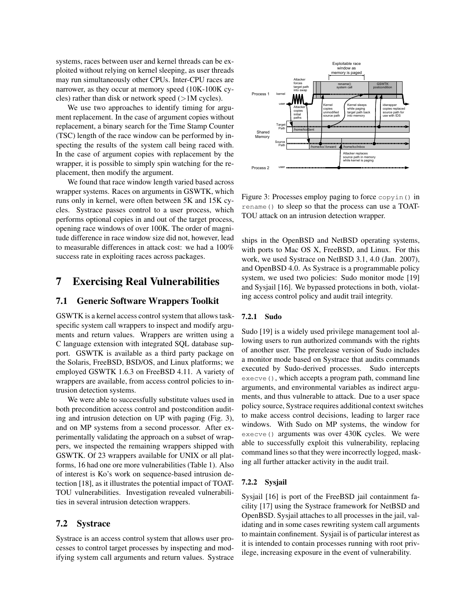systems, races between user and kernel threads can be exploited without relying on kernel sleeping, as user threads may run simultaneously other CPUs. Inter-CPU races are narrower, as they occur at memory speed (10K-100K cycles) rather than disk or network speed (>1M cycles).

We use two approaches to identify timing for argument replacement. In the case of argument copies without replacement, a binary search for the Time Stamp Counter (TSC) length of the race window can be performed by inspecting the results of the system call being raced with. In the case of argument copies with replacement by the wrapper, it is possible to simply spin watching for the replacement, then modify the argument.

We found that race window length varied based across wrapper systems. Races on arguments in GSWTK, which runs only in kernel, were often between 5K and 15K cycles. Systrace passes control to a user process, which performs optional copies in and out of the target process, opening race windows of over 100K. The order of magnitude difference in race window size did not, however, lead to measurable differences in attack cost: we had a 100% success rate in exploiting races across packages.

### 7 Exercising Real Vulnerabilities

#### 7.1 Generic Software Wrappers Toolkit

GSWTK is a kernel access control system that allows taskspecific system call wrappers to inspect and modify arguments and return values. Wrappers are written using a C language extension with integrated SQL database support. GSWTK is available as a third party package on the Solaris, FreeBSD, BSD/OS, and Linux platforms; we employed GSWTK 1.6.3 on FreeBSD 4.11. A variety of wrappers are available, from access control policies to intrusion detection systems.

We were able to successfully substitute values used in both precondition access control and postcondition auditing and intrusion detection on UP with paging (Fig. 3), and on MP systems from a second processor. After experimentally validating the approach on a subset of wrappers, we inspected the remaining wrappers shipped with GSWTK. Of 23 wrappers available for UNIX or all platforms, 16 had one ore more vulnerabilities (Table 1). Also of interest is Ko's work on sequence-based intrusion detection [18], as it illustrates the potential impact of TOAT-TOU vulnerabilities. Investigation revealed vulnerabilities in several intrusion detection wrappers.

#### 7.2 Systrace

Systrace is an access control system that allows user processes to control target processes by inspecting and modifying system call arguments and return values. Systrace



Figure 3: Processes employ paging to force copyin() in rename() to sleep so that the process can use a TOAT-TOU attack on an intrusion detection wrapper.

ships in the OpenBSD and NetBSD operating systems, with ports to Mac OS X, FreeBSD, and Linux. For this work, we used Systrace on NetBSD 3.1, 4.0 (Jan. 2007), and OpenBSD 4.0. As Systrace is a programmable policy system, we used two policies: Sudo monitor mode [19] and Sysjail [16]. We bypassed protections in both, violating access control policy and audit trail integrity.

#### 7.2.1 Sudo

Sudo [19] is a widely used privilege management tool allowing users to run authorized commands with the rights of another user. The prerelease version of Sudo includes a monitor mode based on Systrace that audits commands executed by Sudo-derived processes. Sudo intercepts execve(), which accepts a program path, command line arguments, and environmental variables as indirect arguments, and thus vulnerable to attack. Due to a user space policy source, Systrace requires additional context switches to make access control decisions, leading to larger race windows. With Sudo on MP systems, the window for execve() arguments was over 430K cycles. We were able to successfully exploit this vulnerability, replacing command lines so that they were incorrectly logged, masking all further attacker activity in the audit trail.

#### 7.2.2 Sysjail

Sysjail [16] is port of the FreeBSD jail containment facility [17] using the Systrace framework for NetBSD and OpenBSD. Sysjail attaches to all processes in the jail, validating and in some cases rewriting system call arguments to maintain confinement. Sysjail is of particular interest as it is intended to contain processes running with root privilege, increasing exposure in the event of vulnerability.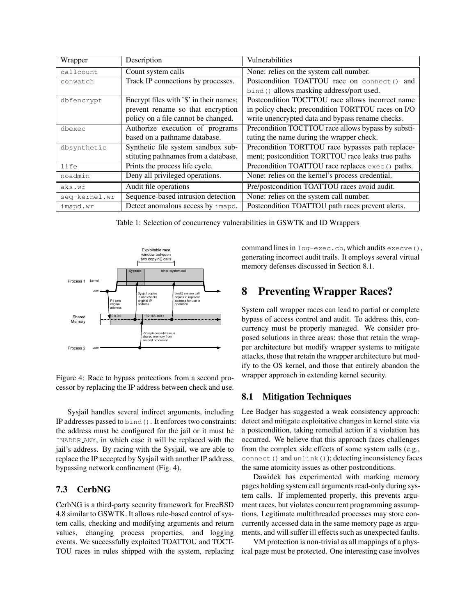| Wrapper       | Description                             | Vulnerabilities                                    |
|---------------|-----------------------------------------|----------------------------------------------------|
| callcount     | Count system calls                      | None: relies on the system call number.            |
| conwatch      | Track IP connections by processes.      | Postcondition TOATTOU race on connect () and       |
|               |                                         | bind() allows masking address/port used.           |
| dbfencrypt    | Encrypt files with '\$' in their names; | Postcondition TOCTTOU race allows incorrect name   |
|               | prevent rename so that encryption       | in policy check; precondition TORTTOU races on I/O |
|               | policy on a file cannot be changed.     | write unencrypted data and bypass rename checks.   |
| dbexec        | Authorize execution of programs         | Precondition TOCTTOU race allows bypass by substi- |
|               | based on a pathname database.           | tuting the name during the wrapper check.          |
| dbsynthetic   | Synthetic file system sandbox sub-      | Precondition TORTTOU race bypasses path replace-   |
|               | stituting pathnames from a database.    | ment; postcondition TORTTOU race leaks true paths  |
| life          | Prints the process life cycle.          | Precondition TOATTOU race replaces exec () paths.  |
| noadmin       | Deny all privileged operations.         | None: relies on the kernel's process credential.   |
| aks.wr        | Audit file operations                   | Pre/postcondition TOATTOU races avoid audit.       |
| seq-kernel.wr | Sequence-based intrusion detection      | None: relies on the system call number.            |
| imapd.wr      | Detect anomalous access by imapd.       | Postcondition TOATTOU path races prevent alerts.   |

Table 1: Selection of concurrency vulnerabilities in GSWTK and ID Wrappers



Figure 4: Race to bypass protections from a second processor by replacing the IP address between check and use.

Sysjail handles several indirect arguments, including IP addresses passed to bind(). It enforces two constraints: the address must be configured for the jail or it must be INADDR ANY, in which case it will be replaced with the jail's address. By racing with the Sysjail, we are able to replace the IP accepted by Sysjail with another IP address, bypassing network confinement (Fig. 4).

#### 7.3 CerbNG

CerbNG is a third-party security framework for FreeBSD 4.8 similar to GSWTK. It allows rule-based control of system calls, checking and modifying arguments and return values, changing process properties, and logging events. We successfully exploited TOATTOU and TOCT-TOU races in rules shipped with the system, replacing command lines in log-exec.cb, which audits execve(), generating incorrect audit trails. It employs several virtual memory defenses discussed in Section 8.1.

# 8 Preventing Wrapper Races?

System call wrapper races can lead to partial or complete bypass of access control and audit. To address this, concurrency must be properly managed. We consider proposed solutions in three areas: those that retain the wrapper architecture but modify wrapper systems to mitigate attacks, those that retain the wrapper architecture but modify to the OS kernel, and those that entirely abandon the wrapper approach in extending kernel security.

#### 8.1 Mitigation Techniques

Lee Badger has suggested a weak consistency approach: detect and mitigate exploitative changes in kernel state via a postcondition, taking remedial action if a violation has occurred. We believe that this approach faces challenges from the complex side effects of some system calls (e.g., connect () and unlink()); detecting inconsistency faces the same atomicity issues as other postconditions.

Dawidek has experimented with marking memory pages holding system call arguments read-only during system calls. If implemented properly, this prevents argument races, but violates concurrent programming assumptions. Legitimate multithreaded processes may store concurrently accessed data in the same memory page as arguments, and will suffer ill effects such as unexpected faults.

VM protection is non-trivial as all mappings of a physical page must be protected. One interesting case involves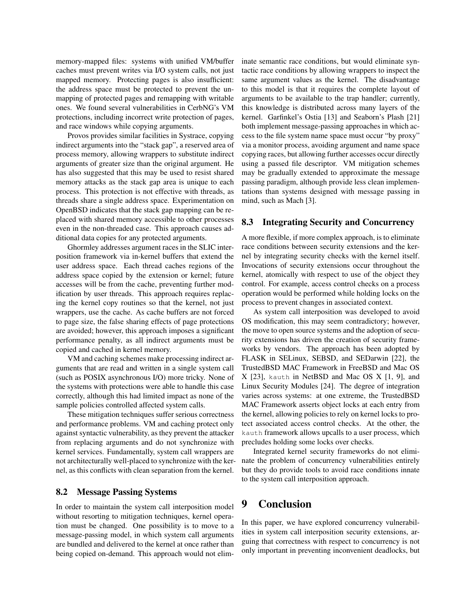memory-mapped files: systems with unified VM/buffer caches must prevent writes via I/O system calls, not just mapped memory. Protecting pages is also insufficient: the address space must be protected to prevent the unmapping of protected pages and remapping with writable ones. We found several vulnerabilities in CerbNG's VM protections, including incorrect write protection of pages, and race windows while copying arguments.

Provos provides similar facilities in Systrace, copying indirect arguments into the "stack gap", a reserved area of process memory, allowing wrappers to substitute indirect arguments of greater size than the original argument. He has also suggested that this may be used to resist shared memory attacks as the stack gap area is unique to each process. This protection is not effective with threads, as threads share a single address space. Experimentation on OpenBSD indicates that the stack gap mapping can be replaced with shared memory accessible to other processes even in the non-threaded case. This approach causes additional data copies for any protected arguments.

Ghormley addresses argument races in the SLIC interposition framework via in-kernel buffers that extend the user address space. Each thread caches regions of the address space copied by the extension or kernel; future accesses will be from the cache, preventing further modification by user threads. This approach requires replacing the kernel copy routines so that the kernel, not just wrappers, use the cache. As cache buffers are not forced to page size, the false sharing effects of page protections are avoided; however, this approach imposes a significant performance penalty, as all indirect arguments must be copied and cached in kernel memory.

VM and caching schemes make processing indirect arguments that are read and written in a single system call (such as POSIX asynchronous I/O) more tricky. None of the systems with protections were able to handle this case correctly, although this had limited impact as none of the sample policies controlled affected system calls.

These mitigation techniques suffer serious correctness and performance problems. VM and caching protect only against syntactic vulnerability, as they prevent the attacker from replacing arguments and do not synchronize with kernel services. Fundamentally, system call wrappers are not architecturally well-placed to synchronize with the kernel, as this conflicts with clean separation from the kernel.

#### 8.2 Message Passing Systems

In order to maintain the system call interposition model without resorting to mitigation techniques, kernel operation must be changed. One possibility is to move to a message-passing model, in which system call arguments are bundled and delivered to the kernel at once rather than being copied on-demand. This approach would not eliminate semantic race conditions, but would eliminate syntactic race conditions by allowing wrappers to inspect the same argument values as the kernel. The disadvantage to this model is that it requires the complete layout of arguments to be available to the trap handler; currently, this knowledge is distributed across many layers of the kernel. Garfinkel's Ostia [13] and Seaborn's Plash [21] both implement message-passing approaches in which access to the file system name space must occur "by proxy" via a monitor process, avoiding argument and name space copying races, but allowing further accesses occur directly using a passed file descriptor. VM mitigation schemes may be gradually extended to approximate the message passing paradigm, although provide less clean implementations than systems designed with message passing in mind, such as Mach [3].

#### 8.3 Integrating Security and Concurrency

A more flexible, if more complex approach, is to eliminate race conditions between security extensions and the kernel by integrating security checks with the kernel itself. Invocations of security extensions occur throughout the kernel, atomically with respect to use of the object they control. For example, access control checks on a process operation would be performed while holding locks on the process to prevent changes in associated context.

As system call interposition was developed to avoid OS modification, this may seem contradictory; however, the move to open source systems and the adoption of security extensions has driven the creation of security frameworks by vendors. The approach has been adopted by FLASK in SELinux, SEBSD, and SEDarwin [22], the TrustedBSD MAC Framework in FreeBSD and Mac OS X [23], kauth in NetBSD and Mac OS X [1, 9], and Linux Security Modules [24]. The degree of integration varies across systems: at one extreme, the TrustedBSD MAC Framework asserts object locks at each entry from the kernel, allowing policies to rely on kernel locks to protect associated access control checks. At the other, the kauth framework allows upcalls to a user process, which precludes holding some locks over checks.

Integrated kernel security frameworks do not eliminate the problem of concurrency vulnerabilities entirely but they do provide tools to avoid race conditions innate to the system call interposition approach.

### 9 Conclusion

In this paper, we have explored concurrency vulnerabilities in system call interposition security extensions, arguing that correctness with respect to concurrency is not only important in preventing inconvenient deadlocks, but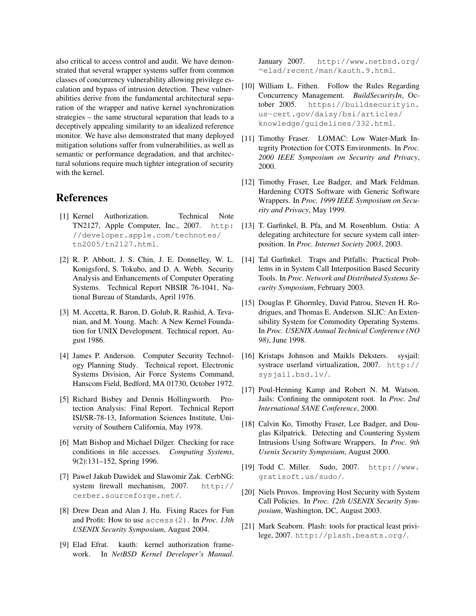also critical to access control and audit. We have demonstrated that several wrapper systems suffer from common classes of concurrency vulnerability allowing privilege escalation and bypass of intrusion detection. These vulnerabilities derive from the fundamental architectural separation of the wrapper and native kernel synchronization strategies – the same structural separation that leads to a deceptively appealing similarity to an idealized reference monitor. We have also demonstrated that many deployed mitigation solutions suffer from vulnerabilities, as well as semantic or performance degradation, and that architectural solutions require much tighter integration of security with the kernel.

### References

- [1] Kernel Authorization. Technical Note TN2127, Apple Computer, Inc., 2007. http: //developer.apple.com/technotes/ tn2005/tn2127.html.
- [2] R. P. Abbott, J. S. Chin, J. E. Donnelley, W. L. [14] Tal Garfinkel. Traps and Pitfalls: Practical Prob-Konigsford, S. Tokubo, and D. A. Webb. Security Analysis and Enhancements of Computer Operating Systems. Technical Report NBSIR 76-1041, National Bureau of Standards, April 1976.
- [3] M. Accetta, R. Baron, D. Golub, R. Rashid, A. Tevanian, and M. Young. Mach: A New Kernel Foundation for UNIX Development. Technical report, August 1986.
- [4] James P. Anderson. Computer Security Technology Planning Study. Technical report, Electronic Systems Division, Air Force Systems Command, Hanscom Field, Bedford, MA 01730, October 1972.
- [5] Richard Bisbey and Dennis Hollingworth. Protection Analysis: Final Report. Technical Report ISI/SR-78-13, Information Sciences Institute, University of Southern California, May 1978.
- [6] Matt Bishop and Michael Dilger. Checking for race conditions in file accesses. *Computing Systems*, 9(2):131–152, Spring 1996.
- [7] Pawel Jakub Dawidek and Slawomir Zak. CerbNG: system firewall mechanism, 2007. http:// cerber.sourceforge.net/.
- [8] Drew Dean and Alan J. Hu. Fixing Races for Fun and Profit: How to use access(2). In *Proc. 13th USENIX Security Symposium*, August 2004.
- [9] Elad Efrat. kauth: kernel authorization framework. In *NetBSD Kernel Developer's Manual*.

January 2007. http://www.netbsd.org/ <sup>∼</sup>elad/recent/man/kauth.9.html.

- [10] William L. Fithen. Follow the Rules Regarding Concurrency Management. *BuildSecurityIn*, October 2005. https://buildsecurityin. us-cert.gov/daisy/bsi/articles/ knowledge/guidelines/332.html.
- [11] Timothy Fraser. LOMAC: Low Water-Mark Integrity Protection for COTS Environments. In *Proc. 2000 IEEE Symposium on Security and Privacy*, 2000.
- [12] Timothy Fraser, Lee Badger, and Mark Feldman. Hardening COTS Software with Generic Software Wrappers. In *Proc. 1999 IEEE Symposium on Security and Privacy*, May 1999.
- [13] T. Garfinkel, B. Pfa, and M. Rosenblum. Ostia: A delegating architecture for secure system call interposition. In *Proc. Internet Society 2003*, 2003.
- lems in in System Call Interposition Based Security Tools. In *Proc. Network and Distributed Systems Security Symposium*, February 2003.
- [15] Douglas P. Ghormley, David Patrou, Steven H. Rodrigues, and Thomas E. Anderson. SLIC: An Extensibility System for Commodity Operating Systems. In *Proc. USENIX Annual Technical Conference (NO 98)*, June 1998.
- [16] Kristaps Johnson and Maikls Deksters. sysjail: systrace userland virtualization, 2007. http:// sysjail.bsd.lv/.
- [17] Poul-Henning Kamp and Robert N. M. Watson. Jails: Confining the omnipotent root. In *Proc. 2nd International SANE Conference*, 2000.
- [18] Calvin Ko, Timothy Fraser, Lee Badger, and Douglas Kilpatrick. Detecting and Countering System Intrusions Using Software Wrappers. In *Proc. 9th Usenix Security Symposium*, August 2000.
- [19] Todd C. Miller. Sudo, 2007. http://www. gratisoft.us/sudo/.
- [20] Niels Provos. Improving Host Security with System Call Policies. In *Proc. 12th USENIX Security Symposium*, Washington, DC, August 2003.
- [21] Mark Seaborn. Plash: tools for practical least privilege, 2007. http://plash.beasts.org/.